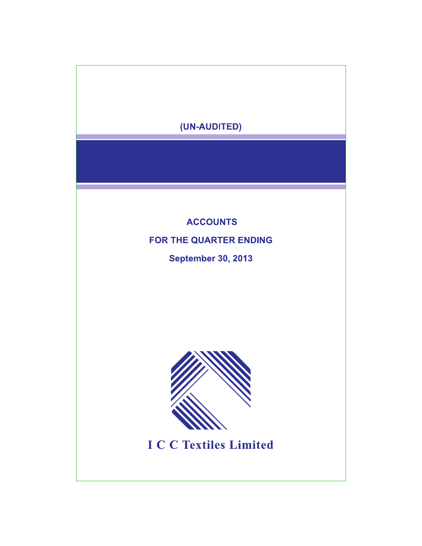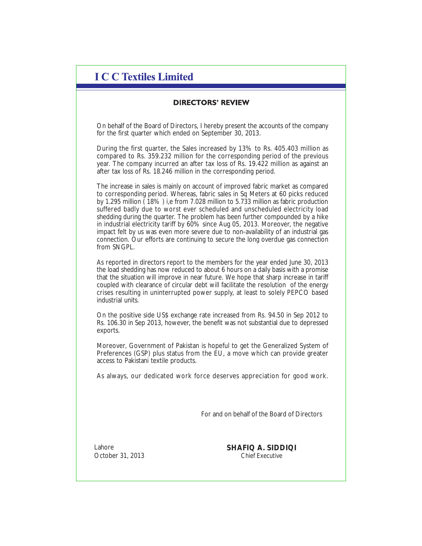## **I C C Textiles Limited**

## **DIRECTORS' REVIEW**

On behalf of the Board of Directors, I hereby present the accounts of the company for the first quarter which ended on September 30, 2013.

During the first quarter, the Sales increased by 13% to Rs. 405.403 million as compared to Rs. 359.232 million for the corresponding period of the previous year. The company incurred an after tax loss of Rs. 19.422 million as against an after tax loss of Rs. 18.246 million in the corresponding period.

The increase in sales is mainly on account of improved fabric market as compared to corresponding period. Whereas, fabric sales in Sq Meters at 60 picks reduced by 1.295 million  $\check{$  18% ) i,e from 7.028 million to 5.733 million as fabric production suffered badly due to worst ever scheduled and unscheduled electricity load shedding during the quarter. The problem has been further compounded by a hike in industrial electricity tariff by 60% since Aug 05, 2013. Moreover, the negative impact felt by us was even more severe due to non-availability of an industrial gas connection. Our efforts are continuing to secure the long overdue gas connection from SNGPL.

As reported in directors report to the members for the year ended June 30, 2013 the load shedding has now reduced to about 6 hours on a daily basis with a promise that the situation will improve in near future. We hope that sharp increase in tariff coupled with clearance of circular debt will facilitate the resolution of the energy crises resulting in uninterrupted power supply, at least to solely PEPCO based industrial units.

On the positive side US\$ exchange rate increased from Rs. 94.50 in Sep 2012 to Rs. 106.30 in Sep 2013, however, the benefit was not substantial due to depressed exports.

Moreover, Government of Pakistan is hopeful to get the Generalized System of Preferences (GSP) plus status from the EU, a move which can provide greater access to Pakistani textile products.

As always, our dedicated work force deserves appreciation for good work.

For and on behalf of the Board of Directors

Lahore October 31, 2013 **SHAFIQ A. SIDDIQI** Chief Executive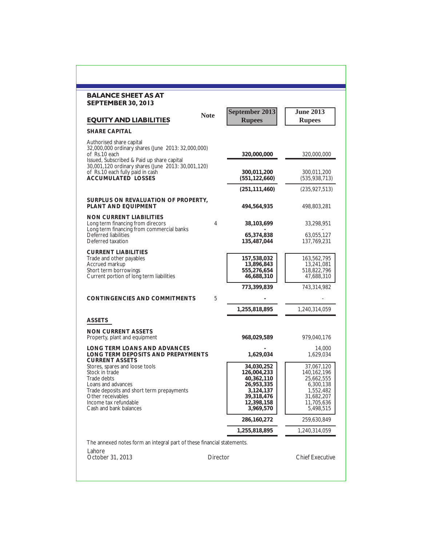| <b>BALANCE SHEET AS AT</b>                                                                                                                                                                                 |             |                                                                                                             |                                                                                                            |
|------------------------------------------------------------------------------------------------------------------------------------------------------------------------------------------------------------|-------------|-------------------------------------------------------------------------------------------------------------|------------------------------------------------------------------------------------------------------------|
| <b>SEPTEMBER 30, 2013</b><br><b>EQUITY AND LIABILITIES</b>                                                                                                                                                 | <b>Note</b> | September 2013<br><b>Rupees</b>                                                                             | <b>June 2013</b><br><b>Rupees</b>                                                                          |
| SHARE CAPITAL                                                                                                                                                                                              |             |                                                                                                             |                                                                                                            |
| Authorised share capital<br>32,000,000 ordinary shares (June 2013: 32,000,000)<br>of Rs.10 each<br>Issued, Subscribed & Paid up share capital<br>30,001,120 ordinary shares (June 2013: 30,001,120)        |             | 320,000,000                                                                                                 | 320,000,000                                                                                                |
| of Rs.10 each fully paid in cash<br>ACCUMULATED LOSSES                                                                                                                                                     |             | 300,011,200<br>(551, 122, 660)                                                                              | 300,011,200<br>(535, 938, 713)                                                                             |
|                                                                                                                                                                                                            |             | (251, 111, 460)                                                                                             | (235, 927, 513)                                                                                            |
| SURPLUS ON REVALUATION OF PROPERTY.<br>PLANT AND EQUIPMENT                                                                                                                                                 |             | 494,564,935                                                                                                 | 498,803,281                                                                                                |
| NON CURRENT LIABILITIES<br>Long term financing from direcors<br>Long term financing from commercial banks                                                                                                  | 4           | 38,103,699                                                                                                  | 33,298,951                                                                                                 |
| Deferred liabilities<br>Deferred taxation                                                                                                                                                                  |             | 65,374,838<br>135,487,044                                                                                   | 63,055,127<br>137,769,231                                                                                  |
| <b>CURRENT LIABILITIES</b><br>Trade and other payables<br>Accrued markup<br>Short term borrowings<br>Current portion of long term liabilities                                                              |             | 157,538,032<br>13,896,843<br>555,276,654<br>46,688,310                                                      | 163,562,795<br>13,241,081<br>518,822,796<br>47,688,310                                                     |
|                                                                                                                                                                                                            |             | 773,399,839                                                                                                 | 743,314,982                                                                                                |
| CONTINGENCIES AND COMMITMENTS                                                                                                                                                                              | 5           |                                                                                                             |                                                                                                            |
|                                                                                                                                                                                                            |             | 1,255,818,895                                                                                               | 1,240,314,059                                                                                              |
| ASSETS                                                                                                                                                                                                     |             |                                                                                                             |                                                                                                            |
| <b>NON CURRENT ASSETS</b><br>Property, plant and equipment                                                                                                                                                 |             | 968,029,589                                                                                                 | 979,040,176                                                                                                |
| LONG TERM LOANS AND ADVANCES<br>LONG TERM DEPOSITS AND PREPAYMENTS<br><b>CURRENT ASSETS</b>                                                                                                                |             | 1,629,034                                                                                                   | 14,000<br>1,629,034                                                                                        |
| Stores, spares and loose tools<br>Stock in trade<br>Trade debts<br>Loans and advances<br>Trade deposits and short term prepayments<br>Other receivables<br>Income tax refundable<br>Cash and bank balances |             | 34,030,252<br>126,004,233<br>40,362,110<br>26,953,335<br>3,124,137<br>39,318,476<br>12,398,158<br>3,969,570 | 37,067,120<br>140,162,196<br>25,662,555<br>6,300,138<br>1,552,482<br>31,682,207<br>11,705,636<br>5,498,515 |
|                                                                                                                                                                                                            |             | 286,160,272                                                                                                 | 259,630,849                                                                                                |
|                                                                                                                                                                                                            |             | 1,255,818,895                                                                                               | 1,240,314,059                                                                                              |
| The annexed notes form an integral part of these financial statements.                                                                                                                                     |             |                                                                                                             |                                                                                                            |
| Lahore<br>October 31, 2013                                                                                                                                                                                 | Director    |                                                                                                             | <b>Chief Executive</b>                                                                                     |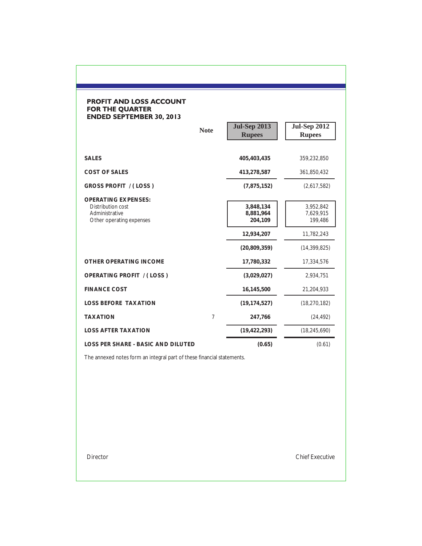## **PROFIT AND LOSS ACCOUNT<br>FOR THE QUARTER<br>ENDED SEPTEMBER 30, 2013**

|                                                                                                      | <b>Note</b> | <b>Jul-Sep 2013</b><br><b>Rupees</b>                              | <b>Jul-Sep 2012</b><br><b>Rupees</b>                              |
|------------------------------------------------------------------------------------------------------|-------------|-------------------------------------------------------------------|-------------------------------------------------------------------|
| <b>SALES</b>                                                                                         |             | 405,403,435                                                       | 359,232,850                                                       |
| <b>COST OF SALES</b>                                                                                 |             | 413,278,587                                                       | 361,850,432                                                       |
| <b>GROSS PROFIT / (LOSS)</b>                                                                         |             | (7,875,152)                                                       | (2,617,582)                                                       |
| <b>OPERATING EXPENSES:</b><br><b>Distribution cost</b><br>Administrative<br>Other operating expenses |             | 3,848,134<br>8,881,964<br>204,109<br>12,934,207<br>(20, 809, 359) | 3,952,842<br>7,629,915<br>199,486<br>11,782,243<br>(14, 399, 825) |
| OTHER OPERATING INCOME                                                                               |             | 17,780,332                                                        | 17,334,576                                                        |
| <b>OPERATING PROFIT / (LOSS)</b>                                                                     |             | (3,029,027)                                                       | 2,934,751                                                         |
| <b>FINANCE COST</b>                                                                                  |             | 16,145,500                                                        | 21,204,933                                                        |
| <b>LOSS BEFORE TAXATION</b>                                                                          |             | (19, 174, 527)                                                    | (18, 270, 182)                                                    |
| <b>TAXATION</b>                                                                                      | 7           | 247,766                                                           | (24, 492)                                                         |
| <b>LOSS AFTER TAXATION</b>                                                                           |             | (19, 422, 293)                                                    | (18, 245, 690)                                                    |
| <b>LOSS PER SHARE - BASIC AND DILUTED</b>                                                            |             | (0.65)                                                            | (0.61)                                                            |

The annexed notes form an integral part of these financial statements.

Director Chief Executive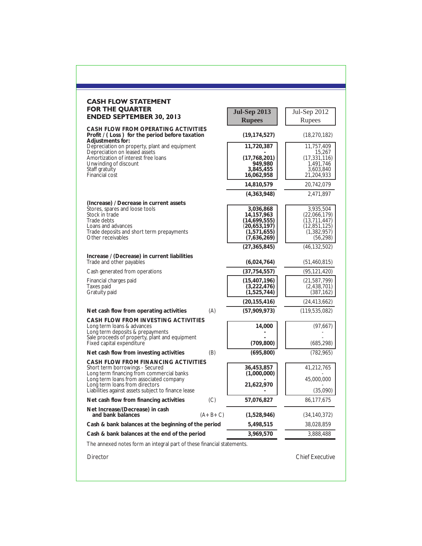| <b>CASH FLOW STATEMENT</b>                                                                                                                                                                                                                              |           |                                                                                           |                                                                                           |
|---------------------------------------------------------------------------------------------------------------------------------------------------------------------------------------------------------------------------------------------------------|-----------|-------------------------------------------------------------------------------------------|-------------------------------------------------------------------------------------------|
| <b>FOR THE QUARTER</b>                                                                                                                                                                                                                                  |           | <b>Jul-Sep 2013</b>                                                                       | Jul-Sep 2012                                                                              |
| <b>ENDED SEPTEMBER 30, 2013</b>                                                                                                                                                                                                                         |           | <b>Rupees</b>                                                                             | Rupees                                                                                    |
| CASH FLOW FROM OPERATING ACTIVITIES<br>Profit / (Loss) for the period before taxation                                                                                                                                                                   |           | (19, 174, 527)                                                                            | (18, 270, 182)                                                                            |
| Adjustments for:<br>Depreciation on property, plant and equipment                                                                                                                                                                                       |           | 11,720,387                                                                                | 11,757,409                                                                                |
| Depreciation on leased assets<br>Amortization of interest free loans<br>Unwinding of discount<br>Staff gratuity<br><b>Financial cost</b>                                                                                                                |           | (17,768,201)<br>949,980<br>3,845,455<br>16,062,958                                        | 15,267<br>(17, 331, 116)<br>1,491,746<br>3,603,840<br>21,204,933                          |
|                                                                                                                                                                                                                                                         |           | 14,810,579                                                                                | 20,742,079                                                                                |
|                                                                                                                                                                                                                                                         |           | (4,363,948)                                                                               | 2,471,897                                                                                 |
| (Increase) / Decrease in current assets<br>Stores, spares and loose tools<br>Stock in trade<br>Trade debts<br>Loans and advances<br>Trade deposits and short term prepayments<br>Other receivables                                                      |           | 3,036,868<br>14,157,963<br>(14, 699, 555)<br>(20, 653, 197)<br>(1,571,655)<br>(7,636,269) | 3,935,504<br>(22,066,179)<br>(13, 711, 447)<br>(12, 851, 125)<br>(1,382,957)<br>(56, 298) |
|                                                                                                                                                                                                                                                         |           | (27, 365, 845)                                                                            | (46, 132, 502)                                                                            |
| Increase / (Decrease) in current liabilities<br>Trade and other payables                                                                                                                                                                                |           | (6,024,764)                                                                               | (51, 460, 815)                                                                            |
| Cash generated from operations                                                                                                                                                                                                                          |           | (37, 754, 557)                                                                            | (95, 121, 420)                                                                            |
| Financial charges paid<br>Taxes paid<br>Gratuity paid                                                                                                                                                                                                   |           | (15, 407, 196)<br>(3,222,476)<br>(1,525,744)                                              | (21, 587, 799)<br>(2,438,701)<br>(387, 162)                                               |
|                                                                                                                                                                                                                                                         |           | (20, 155, 416)                                                                            | (24, 413, 662)                                                                            |
| Net cash flow from operating activities                                                                                                                                                                                                                 | (A)       | (57,909,973)                                                                              | (119, 535, 082)                                                                           |
| CASH FLOW FROM INVESTING ACTIVITIES<br>Long term loans & advances<br>Long term deposits & prepayments<br>Sale proceeds of property, plant and equipment<br>Fixed capital expenditure                                                                    |           | 14,000<br>(709, 800)                                                                      | (97, 667)<br>(685, 298)                                                                   |
| Net cash flow from investing activities                                                                                                                                                                                                                 | (B)       | (695, 800)                                                                                | (782, 965)                                                                                |
| CASH FLOW FROM FINANCING ACTIVITIES<br>Short term borrowings - Secured<br>Long term financing from commercial banks<br>Long term loans from associated company<br>Long term loans from directors<br>Liabilities against assets subject to finance lease |           | 36,453,857<br>(1,000,000)<br>21,622,970                                                   | 41,212,765<br>45,000,000<br>(35,090)                                                      |
| Net cash flow from financing activities                                                                                                                                                                                                                 | (C)       | 57,076,827                                                                                | 86,177,675                                                                                |
| Net Increase/(Decrease) in cash<br>and bank balances                                                                                                                                                                                                    | $(A+B+C)$ | (1,528,946)                                                                               | (34, 140, 372)                                                                            |
| Cash & bank balances at the beginning of the period                                                                                                                                                                                                     |           | 5,498,515                                                                                 | 38,028,859                                                                                |
| Cash & bank balances at the end of the period                                                                                                                                                                                                           |           | 3,969,570                                                                                 | 3,888,488                                                                                 |
| The annexed notes form an integral part of these financial statements.                                                                                                                                                                                  |           |                                                                                           |                                                                                           |
| Director                                                                                                                                                                                                                                                |           |                                                                                           | <b>Chief Executive</b>                                                                    |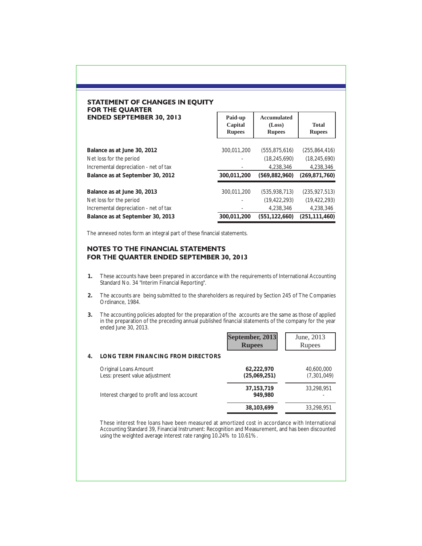| STATEMENT OF CHANGES IN EOUITY  |
|---------------------------------|
| <b>FOR THE QUARTER</b>          |
| <b>ENDED SEPTEMBER 30, 2013</b> |

| Paid-up<br>Capital<br><b>Rupees</b> | Accumulated<br>(Loss)<br><b>Rupees</b> | <b>Total</b><br><b>Rupees</b> |
|-------------------------------------|----------------------------------------|-------------------------------|
| 300,011,200                         | (555, 875, 616)                        | (255, 864, 416)               |
|                                     | (18, 245, 690)                         | (18, 245, 690)                |
|                                     | 4.238.346                              | 4,238,346                     |
| 300,011,200                         | (569, 882, 960)                        | (269, 871, 760)               |
| 300.011.200                         | (535, 938, 713)                        | (235, 927, 513)               |
|                                     | (19, 422, 293)                         | (19, 422, 293)                |
|                                     | 4.238.346                              | 4,238,346                     |
| 300.011.200                         | (551.122.660)                          | (251.111.460)                 |
|                                     |                                        |                               |

٦

The annexed notes form an integral part of these financial statements.

## **NOTES TO THE FINANCIAL STATEMENTS** FOR THE QUARTER ENDED SEPTEMBER 30, 2013

- **1.** These accounts have been prepared in accordance with the requirements of International Accounting Standard No. 34 "Interim Financial Reporting".
- **2.** The accounts are being submitted to the shareholders as required by Section 245 of The Companies Ordinance, 1984.
- **3.** The accounting policies adopted for the preparation of the accounts are the same as those of applied in the preparation of the preceding annual published financial statements of the company for the year ended June 30, 2013.

|    |                                                                | September, 2013<br><b>Rupees</b> | June, 2013<br>Rupees      |
|----|----------------------------------------------------------------|----------------------------------|---------------------------|
| 4. | LONG TERM FINANCING FROM DIRECTORS                             |                                  |                           |
|    | <b>Original Loans Amount</b><br>Less: present value adjustment | 62,222,970<br>(25,069,251)       | 40,600,000<br>(7,301,049) |
|    | Interest charged to profit and loss account                    | 37, 153, 719<br>949.980          | 33,298,951                |
|    |                                                                | 38,103,699                       | 33,298,951                |

These interest free loans have been measured at amortized cost in accordance with International Accounting Standard 39, Financial Instrument: Recognition and Measurement, and has been discounted using the weighted average interest rate ranging 10.24% to 10.61%.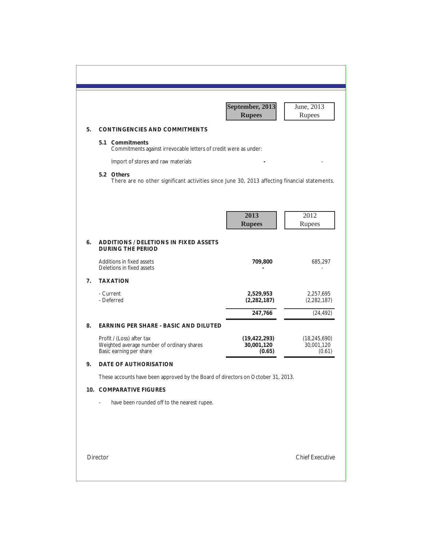|                |                                                                                                             | September, 2013<br><b>Rupees</b>       | June, 2013<br>Rupees                   |
|----------------|-------------------------------------------------------------------------------------------------------------|----------------------------------------|----------------------------------------|
| 5 <sub>1</sub> | <b>CONTINGENCIES AND COMMITMENTS</b>                                                                        |                                        |                                        |
|                | 5.1 Commitments<br>Commitments against irrevocable letters of credit were as under:                         |                                        |                                        |
|                | Import of stores and raw materials                                                                          |                                        |                                        |
|                | 5.2 Others<br>There are no other significant activities since June 30, 2013 affecting financial statements. |                                        |                                        |
|                |                                                                                                             |                                        |                                        |
|                |                                                                                                             | 2013<br><b>Rupees</b>                  | 2012<br>Rupees                         |
| 6.             | <b>ADDITIONS / DELETIONS IN FIXED ASSETS</b><br><b>DURING THE PERIOD</b>                                    |                                        |                                        |
|                | Additions in fixed assets<br>Deletions in fixed assets                                                      | 709,800                                | 685,297                                |
| 7.             | <b>TAXATION</b>                                                                                             |                                        |                                        |
|                | - Current<br>- Deferred                                                                                     | 2,529,953<br>(2, 282, 187)             | 2,257,695<br>(2, 282, 187)             |
|                |                                                                                                             | 247,766                                | (24, 492)                              |
| 8.             | EARNING PER SHARE - BASIC AND DILUTED                                                                       |                                        |                                        |
|                | Profit / (Loss) after tax<br>Weighted average number of ordinary shares<br>Basic earning per share          | (19, 422, 293)<br>30,001,120<br>(0.65) | (18, 245, 690)<br>30,001,120<br>(0.61) |
| 9.             | DATE OF AUTHORISATION                                                                                       |                                        |                                        |
|                | These accounts have been approved by the Board of directors on October 31, 2013.                            |                                        |                                        |
|                | 10. COMPARATIVE FIGURES                                                                                     |                                        |                                        |
|                | have been rounded off to the nearest rupee.                                                                 |                                        |                                        |
|                |                                                                                                             |                                        |                                        |
|                |                                                                                                             |                                        |                                        |
|                |                                                                                                             |                                        |                                        |
|                | Director                                                                                                    |                                        | <b>Chief Executive</b>                 |
|                |                                                                                                             |                                        |                                        |
|                |                                                                                                             |                                        |                                        |